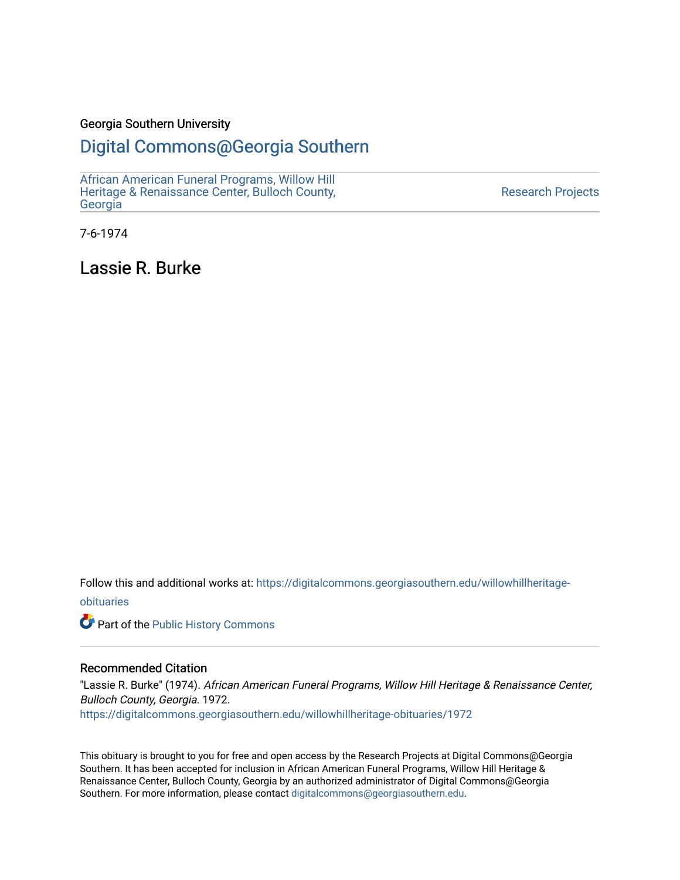#### Georgia Southern University

## [Digital Commons@Georgia Southern](https://digitalcommons.georgiasouthern.edu/)

[African American Funeral Programs, Willow Hill](https://digitalcommons.georgiasouthern.edu/willowhillheritage-obituaries)  [Heritage & Renaissance Center, Bulloch County,](https://digitalcommons.georgiasouthern.edu/willowhillheritage-obituaries) [Georgia](https://digitalcommons.georgiasouthern.edu/willowhillheritage-obituaries)

[Research Projects](https://digitalcommons.georgiasouthern.edu/research-projects) 

7-6-1974

Lassie R. Burke

Follow this and additional works at: [https://digitalcommons.georgiasouthern.edu/willowhillheritage](https://digitalcommons.georgiasouthern.edu/willowhillheritage-obituaries?utm_source=digitalcommons.georgiasouthern.edu%2Fwillowhillheritage-obituaries%2F1972&utm_medium=PDF&utm_campaign=PDFCoverPages)[obituaries](https://digitalcommons.georgiasouthern.edu/willowhillheritage-obituaries?utm_source=digitalcommons.georgiasouthern.edu%2Fwillowhillheritage-obituaries%2F1972&utm_medium=PDF&utm_campaign=PDFCoverPages)

Part of the [Public History Commons](http://network.bepress.com/hgg/discipline/1292?utm_source=digitalcommons.georgiasouthern.edu%2Fwillowhillheritage-obituaries%2F1972&utm_medium=PDF&utm_campaign=PDFCoverPages) 

#### Recommended Citation

"Lassie R. Burke" (1974). African American Funeral Programs, Willow Hill Heritage & Renaissance Center, Bulloch County, Georgia. 1972. [https://digitalcommons.georgiasouthern.edu/willowhillheritage-obituaries/1972](https://digitalcommons.georgiasouthern.edu/willowhillheritage-obituaries/1972?utm_source=digitalcommons.georgiasouthern.edu%2Fwillowhillheritage-obituaries%2F1972&utm_medium=PDF&utm_campaign=PDFCoverPages) 

This obituary is brought to you for free and open access by the Research Projects at Digital Commons@Georgia Southern. It has been accepted for inclusion in African American Funeral Programs, Willow Hill Heritage & Renaissance Center, Bulloch County, Georgia by an authorized administrator of Digital Commons@Georgia Southern. For more information, please contact [digitalcommons@georgiasouthern.edu](mailto:digitalcommons@georgiasouthern.edu).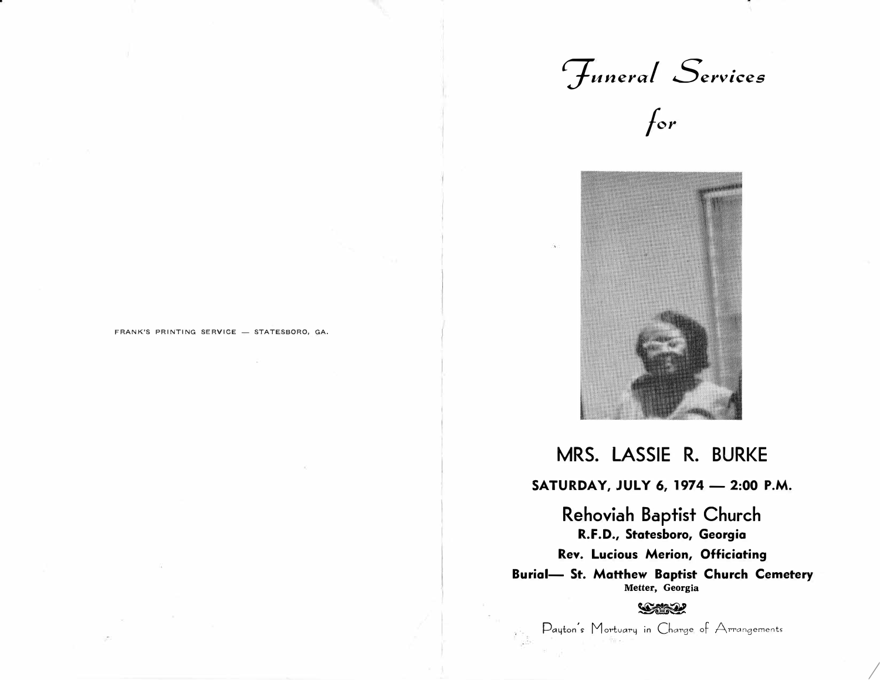*7uneraf Services*

т.





## MRS. LASSIE R. BURKE

**SATURDAY, JULY 6, 1974 - 2:00 P.M.** 

Rehoviah Baptist Church **R.F.D., Statesboro, Georgia Rev. Lucious Merion, Officiating Burial- St. Matthew Baptist Church Cemetery Metter, Georgia** 

#### $\mathcal{L}$

Payton's Mortuary in Charge of Arrangements

*I* 

FRANK'S PRINTING SERVICE - STATESBORO, GA.